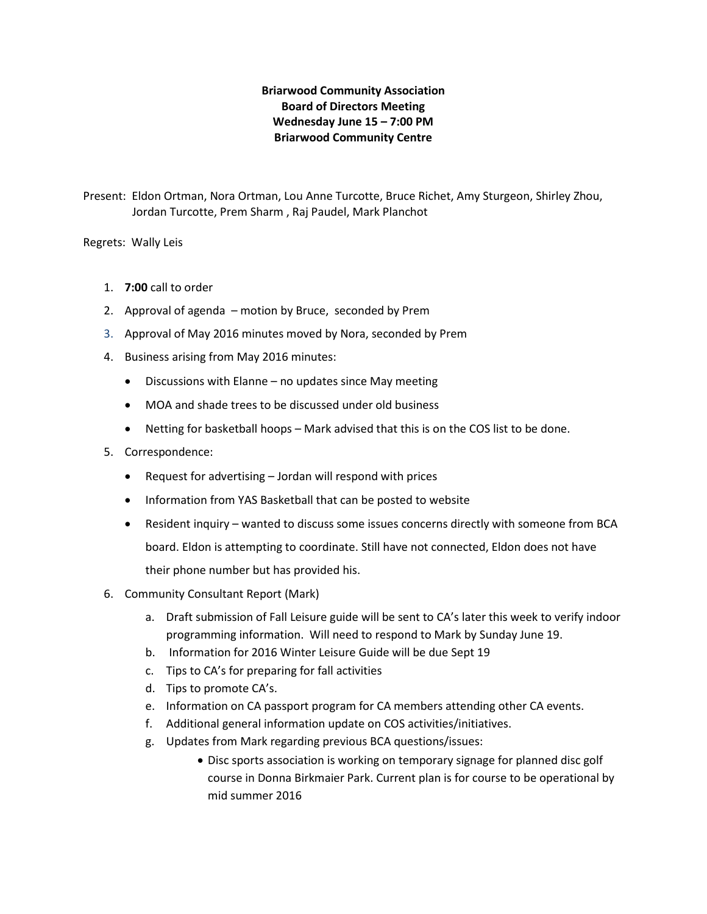# **Briarwood Community Association Board of Directors Meeting Wednesday June 15 – 7:00 PM Briarwood Community Centre**

Present: Eldon Ortman, Nora Ortman, Lou Anne Turcotte, Bruce Richet, Amy Sturgeon, Shirley Zhou, Jordan Turcotte, Prem Sharm , Raj Paudel, Mark Planchot

Regrets: Wally Leis

- 1. **7:00** call to order
- 2. Approval of agenda motion by Bruce, seconded by Prem
- 3. Approval of May 2016 minutes moved by Nora, seconded by Prem
- 4. Business arising from May 2016 minutes:
	- Discussions with Elanne no updates since May meeting
	- MOA and shade trees to be discussed under old business
	- Netting for basketball hoops Mark advised that this is on the COS list to be done.
- 5. Correspondence:
	- Request for advertising Jordan will respond with prices
	- Information from YAS Basketball that can be posted to website
	- Resident inquiry wanted to discuss some issues concerns directly with someone from BCA board. Eldon is attempting to coordinate. Still have not connected, Eldon does not have their phone number but has provided his.
- 6. Community Consultant Report (Mark)
	- a. Draft submission of Fall Leisure guide will be sent to CA's later this week to verify indoor programming information. Will need to respond to Mark by Sunday June 19.
	- b. Information for 2016 Winter Leisure Guide will be due Sept 19
	- c. Tips to CA's for preparing for fall activities
	- d. Tips to promote CA's.
	- e. Information on CA passport program for CA members attending other CA events.
	- f. Additional general information update on COS activities/initiatives.
	- g. Updates from Mark regarding previous BCA questions/issues:
		- Disc sports association is working on temporary signage for planned disc golf course in Donna Birkmaier Park. Current plan is for course to be operational by mid summer 2016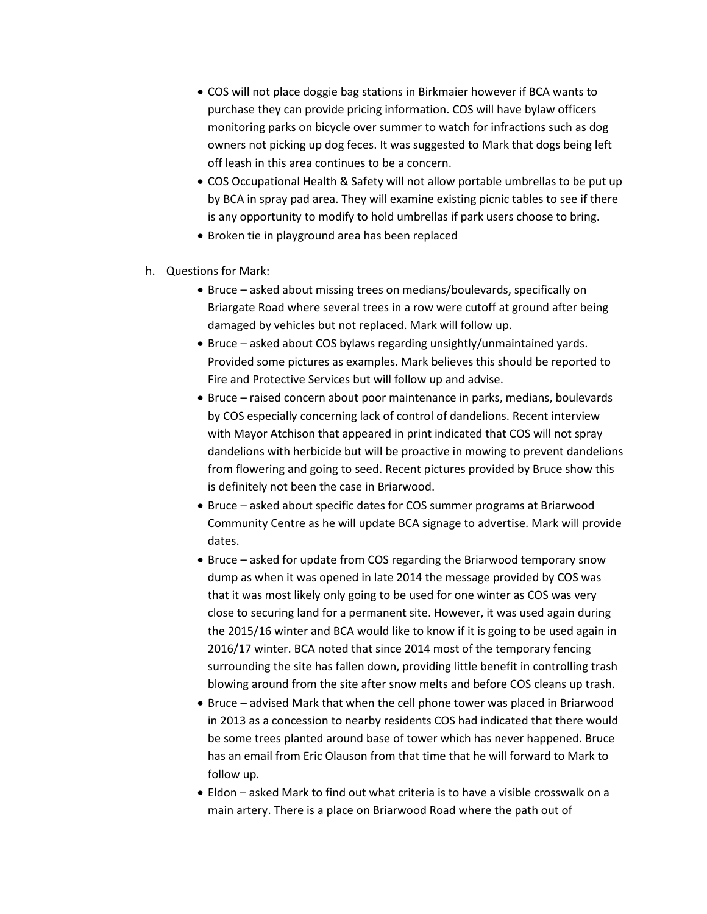- COS will not place doggie bag stations in Birkmaier however if BCA wants to purchase they can provide pricing information. COS will have bylaw officers monitoring parks on bicycle over summer to watch for infractions such as dog owners not picking up dog feces. It was suggested to Mark that dogs being left off leash in this area continues to be a concern.
- COS Occupational Health & Safety will not allow portable umbrellas to be put up by BCA in spray pad area. They will examine existing picnic tables to see if there is any opportunity to modify to hold umbrellas if park users choose to bring.
- Broken tie in playground area has been replaced
- h. Questions for Mark:
	- Bruce asked about missing trees on medians/boulevards, specifically on Briargate Road where several trees in a row were cutoff at ground after being damaged by vehicles but not replaced. Mark will follow up.
	- Bruce asked about COS bylaws regarding unsightly/unmaintained yards. Provided some pictures as examples. Mark believes this should be reported to Fire and Protective Services but will follow up and advise.
	- Bruce raised concern about poor maintenance in parks, medians, boulevards by COS especially concerning lack of control of dandelions. Recent interview with Mayor Atchison that appeared in print indicated that COS will not spray dandelions with herbicide but will be proactive in mowing to prevent dandelions from flowering and going to seed. Recent pictures provided by Bruce show this is definitely not been the case in Briarwood.
	- Bruce asked about specific dates for COS summer programs at Briarwood Community Centre as he will update BCA signage to advertise. Mark will provide dates.
	- Bruce asked for update from COS regarding the Briarwood temporary snow dump as when it was opened in late 2014 the message provided by COS was that it was most likely only going to be used for one winter as COS was very close to securing land for a permanent site. However, it was used again during the 2015/16 winter and BCA would like to know if it is going to be used again in 2016/17 winter. BCA noted that since 2014 most of the temporary fencing surrounding the site has fallen down, providing little benefit in controlling trash blowing around from the site after snow melts and before COS cleans up trash.
	- Bruce advised Mark that when the cell phone tower was placed in Briarwood in 2013 as a concession to nearby residents COS had indicated that there would be some trees planted around base of tower which has never happened. Bruce has an email from Eric Olauson from that time that he will forward to Mark to follow up.
	- Eldon asked Mark to find out what criteria is to have a visible crosswalk on a main artery. There is a place on Briarwood Road where the path out of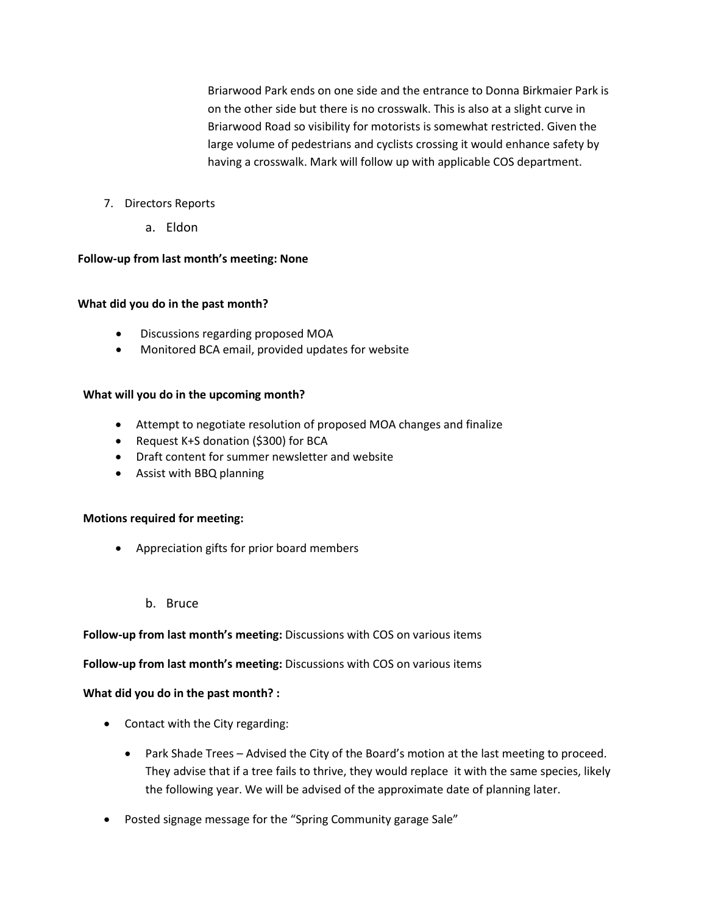Briarwood Park ends on one side and the entrance to Donna Birkmaier Park is on the other side but there is no crosswalk. This is also at a slight curve in Briarwood Road so visibility for motorists is somewhat restricted. Given the large volume of pedestrians and cyclists crossing it would enhance safety by having a crosswalk. Mark will follow up with applicable COS department.

- 7. Directors Reports
	- a. Eldon

#### **Follow-up from last month's meeting: None**

#### **What did you do in the past month?**

- Discussions regarding proposed MOA
- Monitored BCA email, provided updates for website

#### **What will you do in the upcoming month?**

- Attempt to negotiate resolution of proposed MOA changes and finalize
- Request K+S donation (\$300) for BCA
- Draft content for summer newsletter and website
- Assist with BBQ planning

#### **Motions required for meeting:**

- Appreciation gifts for prior board members
	- b. Bruce

#### **Follow-up from last month's meeting:** Discussions with COS on various items

#### **Follow-up from last month's meeting:** Discussions with COS on various items

#### **What did you do in the past month? :**

- Contact with the City regarding:
	- Park Shade Trees Advised the City of the Board's motion at the last meeting to proceed. They advise that if a tree fails to thrive, they would replace it with the same species, likely the following year. We will be advised of the approximate date of planning later.
- Posted signage message for the "Spring Community garage Sale"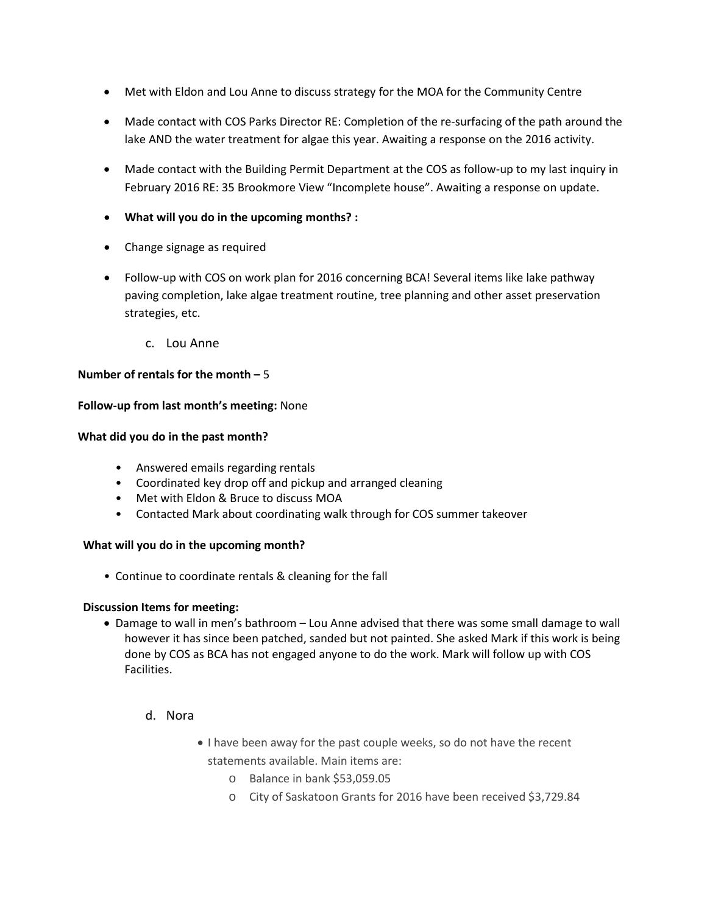- Met with Eldon and Lou Anne to discuss strategy for the MOA for the Community Centre
- Made contact with COS Parks Director RE: Completion of the re-surfacing of the path around the lake AND the water treatment for algae this year. Awaiting a response on the 2016 activity.
- Made contact with the Building Permit Department at the COS as follow-up to my last inquiry in February 2016 RE: 35 Brookmore View "Incomplete house". Awaiting a response on update.
- **What will you do in the upcoming months? :**
- Change signage as required
- Follow-up with COS on work plan for 2016 concerning BCA! Several items like lake pathway paving completion, lake algae treatment routine, tree planning and other asset preservation strategies, etc.
	- c. Lou Anne

### **Number of rentals for the month –** 5

#### **Follow-up from last month's meeting:** None

#### **What did you do in the past month?**

- Answered emails regarding rentals
- Coordinated key drop off and pickup and arranged cleaning
- Met with Eldon & Bruce to discuss MOA
- Contacted Mark about coordinating walk through for COS summer takeover

# **What will you do in the upcoming month?**

• Continue to coordinate rentals & cleaning for the fall

#### **Discussion Items for meeting:**

- Damage to wall in men's bathroom Lou Anne advised that there was some small damage to wall however it has since been patched, sanded but not painted. She asked Mark if this work is being done by COS as BCA has not engaged anyone to do the work. Mark will follow up with COS Facilities.
	- d. Nora
- I have been away for the past couple weeks, so do not have the recent statements available. Main items are:
	- o Balance in bank \$53,059.05
	- o City of Saskatoon Grants for 2016 have been received \$3,729.84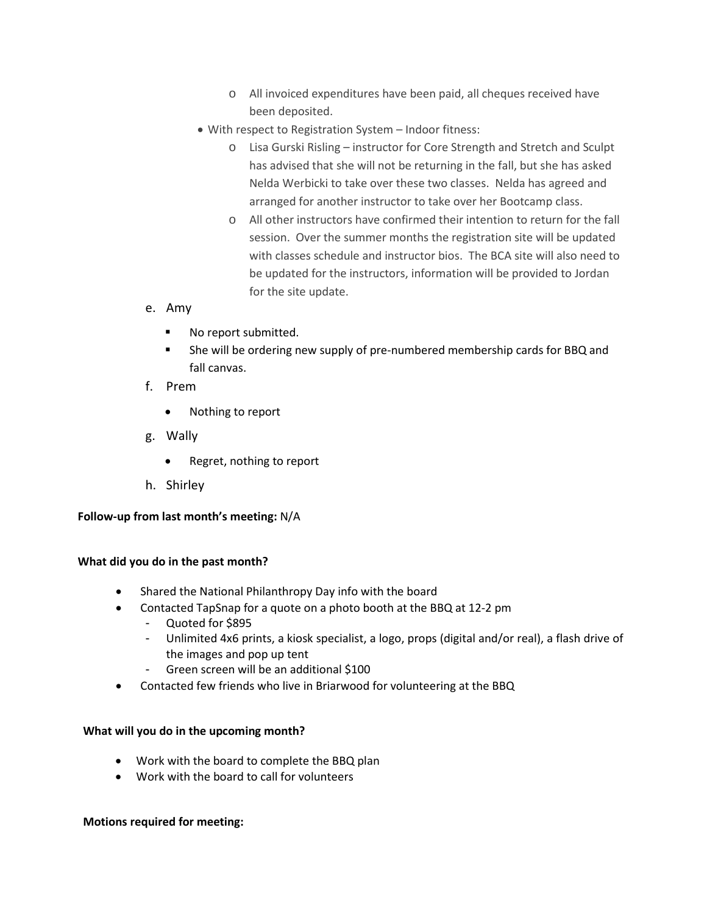- o All invoiced expenditures have been paid, all cheques received have been deposited.
- With respect to Registration System Indoor fitness:
	- o Lisa Gurski Risling instructor for Core Strength and Stretch and Sculpt has advised that she will not be returning in the fall, but she has asked Nelda Werbicki to take over these two classes. Nelda has agreed and arranged for another instructor to take over her Bootcamp class.
	- o All other instructors have confirmed their intention to return for the fall session. Over the summer months the registration site will be updated with classes schedule and instructor bios. The BCA site will also need to be updated for the instructors, information will be provided to Jordan for the site update.
- e. Amy
	- No report submitted.
	- She will be ordering new supply of pre-numbered membership cards for BBQ and fall canvas.
- f. Prem
	- Nothing to report
- g. Wally
	- Regret, nothing to report
- h. Shirley

# **Follow-up from last month's meeting:** N/A

#### **What did you do in the past month?**

- Shared the National Philanthropy Day info with the board
- Contacted TapSnap for a quote on a photo booth at the BBQ at 12-2 pm
	- Quoted for \$895
	- Unlimited 4x6 prints, a kiosk specialist, a logo, props (digital and/or real), a flash drive of the images and pop up tent
	- Green screen will be an additional \$100
- Contacted few friends who live in Briarwood for volunteering at the BBQ

#### **What will you do in the upcoming month?**

- Work with the board to complete the BBQ plan
- Work with the board to call for volunteers

#### **Motions required for meeting:**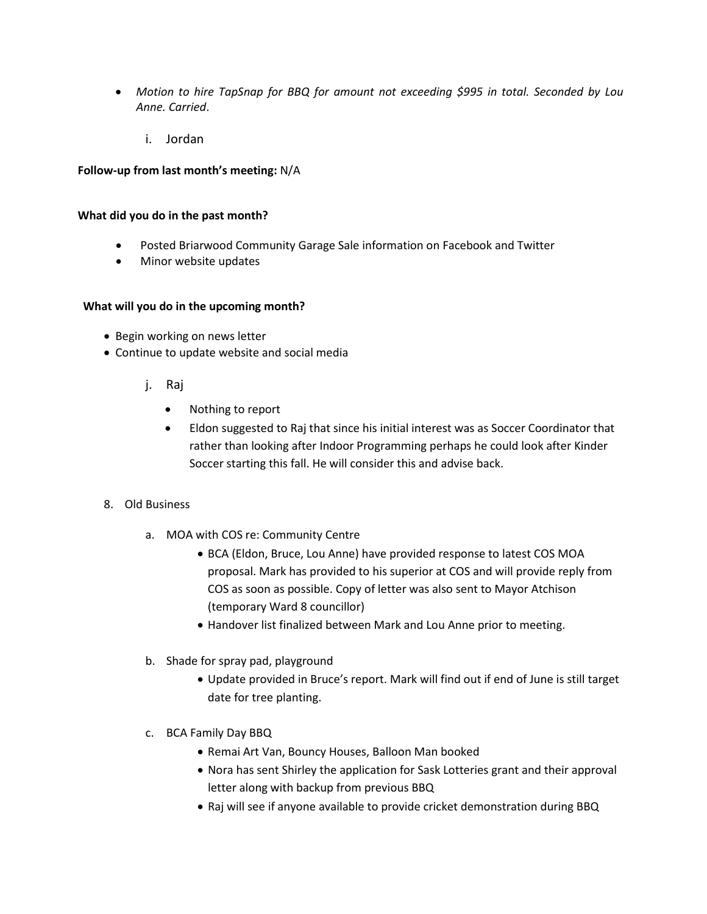- *Motion to hire TapSnap for BBQ for amount not exceeding \$995 in total. Seconded by Lou Anne. Carried*.
	- i. Jordan

### **Follow-up from last month's meeting:** N/A

#### **What did you do in the past month?**

- Posted Briarwood Community Garage Sale information on Facebook and Twitter
- Minor website updates

#### **What will you do in the upcoming month?**

- Begin working on news letter
- Continue to update website and social media
	- j. Raj
		- Nothing to report
		- Eldon suggested to Raj that since his initial interest was as Soccer Coordinator that rather than looking after Indoor Programming perhaps he could look after Kinder Soccer starting this fall. He will consider this and advise back.

#### 8. Old Business

- a. MOA with COS re: Community Centre
	- BCA (Eldon, Bruce, Lou Anne) have provided response to latest COS MOA proposal. Mark has provided to his superior at COS and will provide reply from COS as soon as possible. Copy of letter was also sent to Mayor Atchison (temporary Ward 8 councillor)
	- Handover list finalized between Mark and Lou Anne prior to meeting.
- b. Shade for spray pad, playground
	- Update provided in Bruce's report. Mark will find out if end of June is still target date for tree planting.
- c. BCA Family Day BBQ
	- Remai Art Van, Bouncy Houses, Balloon Man booked
	- Nora has sent Shirley the application for Sask Lotteries grant and their approval letter along with backup from previous BBQ
	- Raj will see if anyone available to provide cricket demonstration during BBQ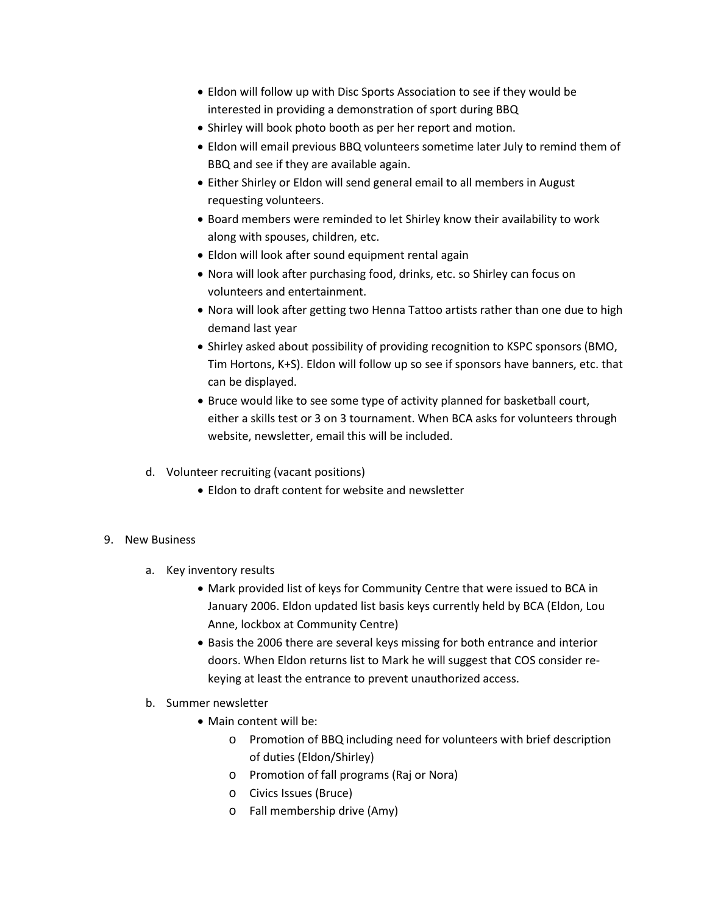- Eldon will follow up with Disc Sports Association to see if they would be interested in providing a demonstration of sport during BBQ
- Shirley will book photo booth as per her report and motion.
- Eldon will email previous BBQ volunteers sometime later July to remind them of BBQ and see if they are available again.
- Either Shirley or Eldon will send general email to all members in August requesting volunteers.
- Board members were reminded to let Shirley know their availability to work along with spouses, children, etc.
- Eldon will look after sound equipment rental again
- Nora will look after purchasing food, drinks, etc. so Shirley can focus on volunteers and entertainment.
- Nora will look after getting two Henna Tattoo artists rather than one due to high demand last year
- Shirley asked about possibility of providing recognition to KSPC sponsors (BMO, Tim Hortons, K+S). Eldon will follow up so see if sponsors have banners, etc. that can be displayed.
- Bruce would like to see some type of activity planned for basketball court, either a skills test or 3 on 3 tournament. When BCA asks for volunteers through website, newsletter, email this will be included.
- d. Volunteer recruiting (vacant positions)
	- Eldon to draft content for website and newsletter

# 9. New Business

- a. Key inventory results
	- Mark provided list of keys for Community Centre that were issued to BCA in January 2006. Eldon updated list basis keys currently held by BCA (Eldon, Lou Anne, lockbox at Community Centre)
	- Basis the 2006 there are several keys missing for both entrance and interior doors. When Eldon returns list to Mark he will suggest that COS consider rekeying at least the entrance to prevent unauthorized access.
- b. Summer newsletter
	- Main content will be:
		- o Promotion of BBQ including need for volunteers with brief description of duties (Eldon/Shirley)
		- o Promotion of fall programs (Raj or Nora)
		- o Civics Issues (Bruce)
		- o Fall membership drive (Amy)